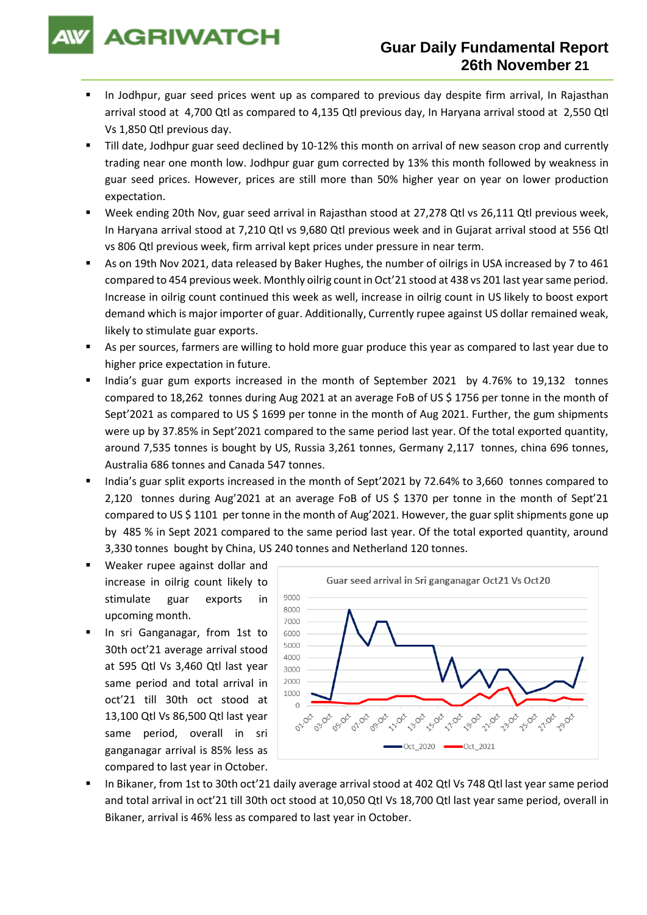**AGRIWATCH** 

- In Jodhpur, guar seed prices went up as compared to previous day despite firm arrival, In Rajasthan arrival stood at 4,700 Qtl as compared to 4,135 Qtl previous day, In Haryana arrival stood at 2,550 Qtl Vs 1,850 Qtl previous day.
- Till date, Jodhpur guar seed declined by 10-12% this month on arrival of new season crop and currently trading near one month low. Jodhpur guar gum corrected by 13% this month followed by weakness in guar seed prices. However, prices are still more than 50% higher year on year on lower production expectation.
- Week ending 20th Nov, guar seed arrival in Rajasthan stood at 27,278 Qtl vs 26,111 Qtl previous week, In Haryana arrival stood at 7,210 Qtl vs 9,680 Qtl previous week and in Gujarat arrival stood at 556 Qtl vs 806 Qtl previous week, firm arrival kept prices under pressure in near term.
- As on 19th Nov 2021, data released by Baker Hughes, the number of oilrigs in USA increased by 7 to 461 compared to 454 previous week. Monthly oilrig count in Oct'21 stood at 438 vs 201 last year same period. Increase in oilrig count continued this week as well, increase in oilrig count in US likely to boost export demand which is major importer of guar. Additionally, Currently rupee against US dollar remained weak, likely to stimulate guar exports.
- As per sources, farmers are willing to hold more guar produce this year as compared to last year due to higher price expectation in future.
- India's guar gum exports increased in the month of September 2021 by 4.76% to 19,132 tonnes compared to 18,262 tonnes during Aug 2021 at an average FoB of US \$ 1756 per tonne in the month of Sept'2021 as compared to US \$ 1699 per tonne in the month of Aug 2021. Further, the gum shipments were up by 37.85% in Sept'2021 compared to the same period last year. Of the total exported quantity, around 7,535 tonnes is bought by US, Russia 3,261 tonnes, Germany 2,117 tonnes, china 696 tonnes, Australia 686 tonnes and Canada 547 tonnes.
- India's guar split exports increased in the month of Sept'2021 by 72.64% to 3,660 tonnes compared to 2,120 tonnes during Aug'2021 at an average FoB of US \$ 1370 per tonne in the month of Sept'21 compared to US \$ 1101 per tonne in the month of Aug'2021. However, the guar split shipments gone up by 485 % in Sept 2021 compared to the same period last year. Of the total exported quantity, around 3,330 tonnes bought by China, US 240 tonnes and Netherland 120 tonnes.
- Weaker rupee against dollar and increase in oilrig count likely to stimulate guar exports in upcoming month.
- In sri Ganganagar, from 1st to 30th oct'21 average arrival stood at 595 Qtl Vs 3,460 Qtl last year same period and total arrival in oct'21 till 30th oct stood at 13,100 Qtl Vs 86,500 Qtl last year same period, overall in sri ganganagar arrival is 85% less as compared to last year in October.



In Bikaner, from 1st to 30th oct'21 daily average arrival stood at 402 Qtl Vs 748 Qtl last year same period and total arrival in oct'21 till 30th oct stood at 10,050 Qtl Vs 18,700 Qtl last year same period, overall in Bikaner, arrival is 46% less as compared to last year in October.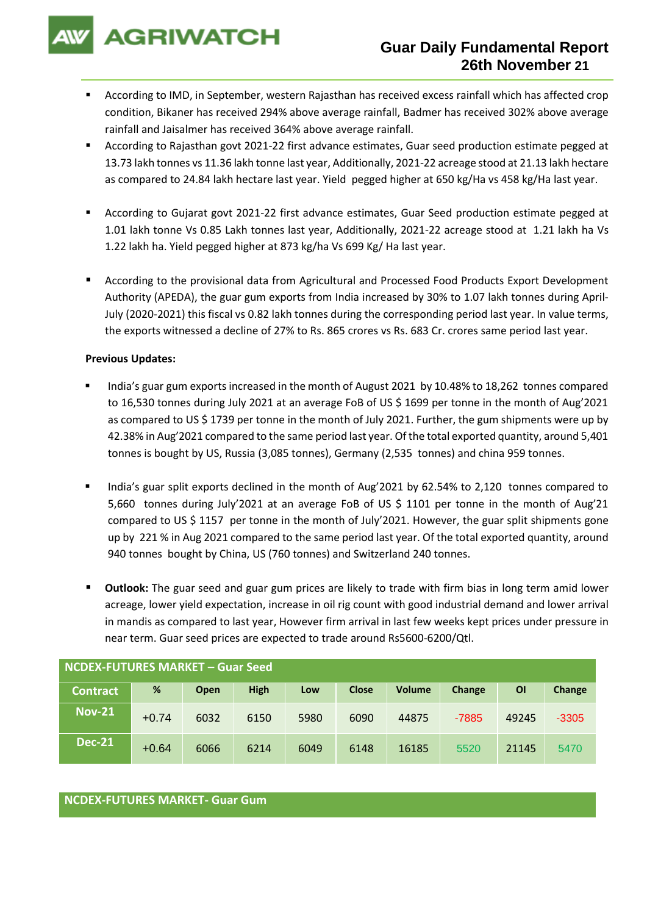**AGRIWATCH** 

- According to IMD, in September, western Rajasthan has received excess rainfall which has affected crop condition, Bikaner has received 294% above average rainfall, Badmer has received 302% above average rainfall and Jaisalmer has received 364% above average rainfall.
- According to Rajasthan govt 2021-22 first advance estimates, Guar seed production estimate pegged at 13.73 lakh tonnes vs 11.36 lakh tonne last year, Additionally, 2021-22 acreage stood at 21.13 lakh hectare as compared to 24.84 lakh hectare last year. Yield pegged higher at 650 kg/Ha vs 458 kg/Ha last year.
- According to Gujarat govt 2021-22 first advance estimates, Guar Seed production estimate pegged at 1.01 lakh tonne Vs 0.85 Lakh tonnes last year, Additionally, 2021-22 acreage stood at 1.21 lakh ha Vs 1.22 lakh ha. Yield pegged higher at 873 kg/ha Vs 699 Kg/ Ha last year.
- According to the provisional data from Agricultural and Processed Food Products Export Development Authority (APEDA), the guar gum exports from India increased by 30% to 1.07 lakh tonnes during April-July (2020-2021) this fiscal vs 0.82 lakh tonnes during the corresponding period last year. In value terms, the exports witnessed a decline of 27% to Rs. 865 crores vs Rs. 683 Cr. crores same period last year.

### **Previous Updates:**

- India's guar gum exports increased in the month of August 2021 by 10.48% to 18,262 tonnes compared to 16,530 tonnes during July 2021 at an average FoB of US \$ 1699 per tonne in the month of Aug'2021 as compared to US \$ 1739 per tonne in the month of July 2021. Further, the gum shipments were up by 42.38% in Aug'2021 compared to the same period last year. Of the total exported quantity, around 5,401 tonnes is bought by US, Russia (3,085 tonnes), Germany (2,535 tonnes) and china 959 tonnes.
- India's guar split exports declined in the month of Aug'2021 by 62.54% to 2,120 tonnes compared to 5,660 tonnes during July'2021 at an average FoB of US \$ 1101 per tonne in the month of Aug'21 compared to US \$ 1157 per tonne in the month of July'2021. However, the guar split shipments gone up by 221 % in Aug 2021 compared to the same period last year. Of the total exported quantity, around 940 tonnes bought by China, US (760 tonnes) and Switzerland 240 tonnes.
- **Outlook:** The guar seed and guar gum prices are likely to trade with firm bias in long term amid lower acreage, lower yield expectation, increase in oil rig count with good industrial demand and lower arrival in mandis as compared to last year, However firm arrival in last few weeks kept prices under pressure in near term. Guar seed prices are expected to trade around Rs5600-6200/Qtl.

| NCDEX-FUTURES MARKET – Guar Seed |         |      |             |      |              |               |         |           |         |
|----------------------------------|---------|------|-------------|------|--------------|---------------|---------|-----------|---------|
| <b>Contract</b>                  | %       | Open | <b>High</b> | Low  | <b>Close</b> | <b>Volume</b> | Change  | <b>OI</b> | Change  |
| <b>Nov-21</b>                    | $+0.74$ | 6032 | 6150        | 5980 | 6090         | 44875         | $-7885$ | 49245     | $-3305$ |
| <b>Dec-21</b>                    | $+0.64$ | 6066 | 6214        | 6049 | 6148         | 16185         | 5520    | 21145     | 5470    |

## **NCDEX-FUTURES MARKET- Guar Gum**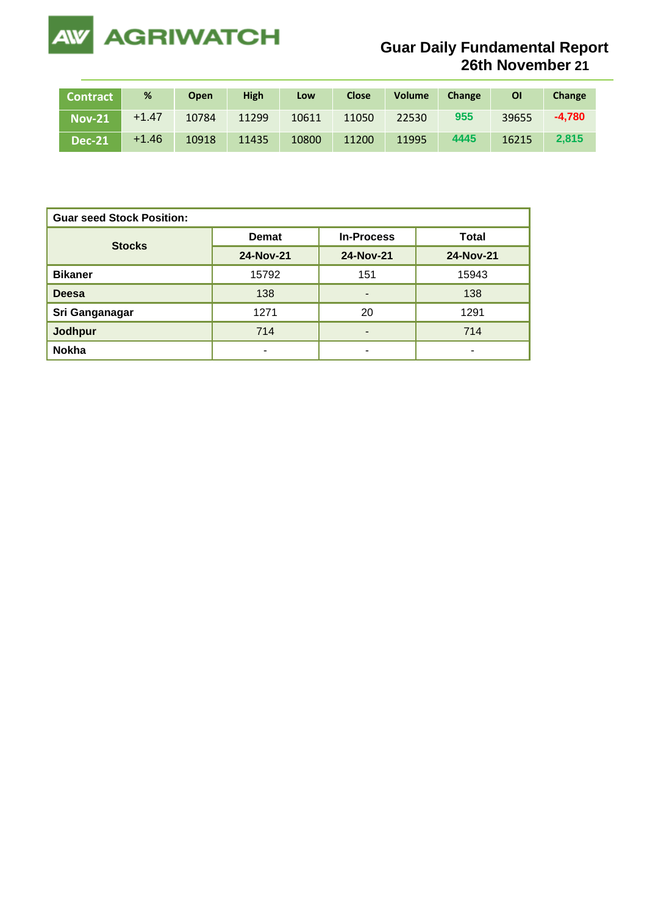

# **Guar Daily Fundamental Report 26th November 21**

| <b>Contract</b>          | %       | <b>Open</b> | <b>High</b> | Low   | Close | <b>Volume</b> | Change | ΟI    | Change   |
|--------------------------|---------|-------------|-------------|-------|-------|---------------|--------|-------|----------|
| <b>Nov-21</b>            | $+1.47$ | 10784       | 11299       | 10611 | 11050 | 22530         | 955    | 39655 | $-4.780$ |
| $\sf $ Dec-21 $^\dagger$ | $+1.46$ | 10918       | 11435       | 10800 | 11200 | 11995         | 4445   | 16215 | 2.815    |

| <b>Guar seed Stock Position:</b> |              |                   |              |  |  |  |  |
|----------------------------------|--------------|-------------------|--------------|--|--|--|--|
| <b>Stocks</b>                    | <b>Demat</b> | <b>In-Process</b> | <b>Total</b> |  |  |  |  |
|                                  | 24-Nov-21    | 24-Nov-21         | 24-Nov-21    |  |  |  |  |
| <b>Bikaner</b>                   | 15792        | 151               | 15943        |  |  |  |  |
| <b>Deesa</b>                     | 138          | ۰                 | 138          |  |  |  |  |
| Sri Ganganagar                   | 1271         | 20                | 1291         |  |  |  |  |
| <b>Jodhpur</b>                   | 714          |                   | 714          |  |  |  |  |
| <b>Nokha</b>                     |              | ۰                 | -            |  |  |  |  |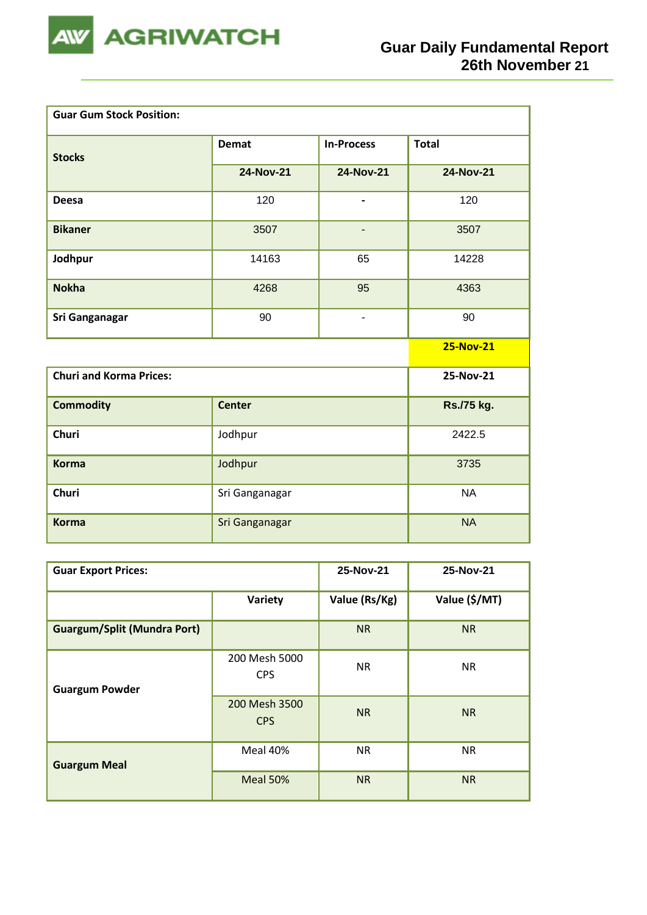

| <b>Guar Gum Stock Position:</b> |                |                              |                  |
|---------------------------------|----------------|------------------------------|------------------|
| <b>Stocks</b>                   | <b>Demat</b>   | <b>In-Process</b>            | <b>Total</b>     |
|                                 | 24-Nov-21      | 24-Nov-21                    | <b>24-Nov-21</b> |
| <b>Deesa</b>                    | 120            | $\qquad \qquad \blacksquare$ | 120              |
| <b>Bikaner</b>                  | 3507           | $\overline{\phantom{0}}$     | 3507             |
| Jodhpur                         | 14163          | 65                           | 14228            |
| <b>Nokha</b>                    | 4268           | 95                           | 4363             |
| <b>Sri Ganganagar</b>           | 90             | $\overline{a}$               | 90               |
|                                 |                |                              | <b>25-Nov-21</b> |
| <b>Churi and Korma Prices:</b>  |                |                              | 25-Nov-21        |
| <b>Commodity</b>                | <b>Center</b>  |                              | Rs./75 kg.       |
| Churi                           | Jodhpur        |                              | 2422.5           |
| <b>Korma</b>                    | Jodhpur        |                              | 3735             |
| Churi                           | Sri Ganganagar |                              | <b>NA</b>        |
| <b>Korma</b>                    | Sri Ganganagar |                              | <b>NA</b>        |

| <b>Guar Export Prices:</b>         | 25-Nov-21                   | 25-Nov-21     |               |
|------------------------------------|-----------------------------|---------------|---------------|
|                                    | Variety                     | Value (Rs/Kg) | Value (\$/MT) |
| <b>Guargum/Split (Mundra Port)</b> |                             | <b>NR</b>     | <b>NR</b>     |
| <b>Guargum Powder</b>              | 200 Mesh 5000<br><b>CPS</b> | <b>NR</b>     | <b>NR</b>     |
|                                    | 200 Mesh 3500<br><b>CPS</b> | <b>NR</b>     | <b>NR</b>     |
| <b>Guargum Meal</b>                | Meal 40%                    | <b>NR</b>     | <b>NR</b>     |
|                                    | Meal 50%                    | <b>NR</b>     | <b>NR</b>     |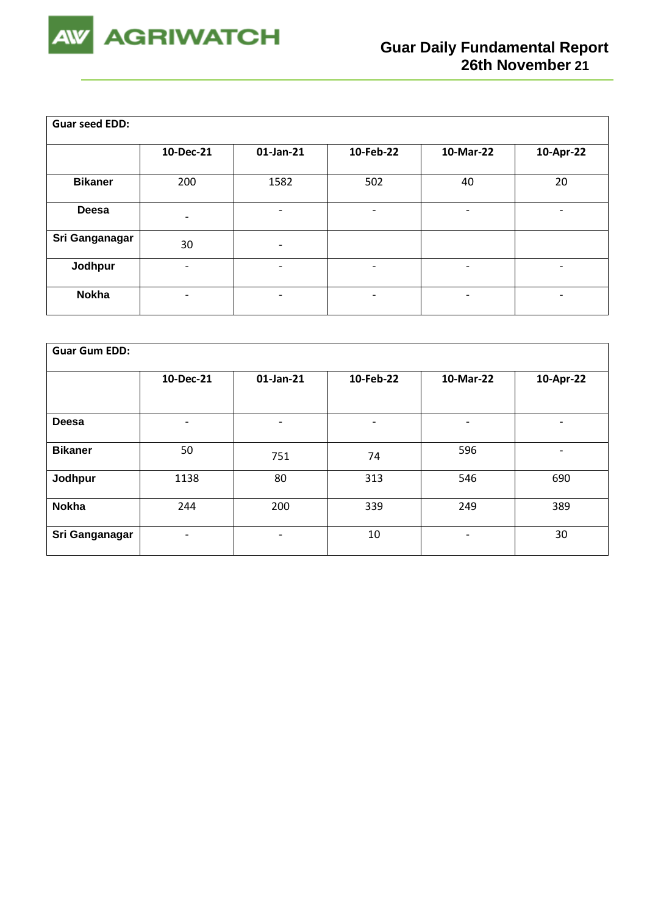

| <b>Guar seed EDD:</b> |                          |                          |                          |                          |           |
|-----------------------|--------------------------|--------------------------|--------------------------|--------------------------|-----------|
|                       | 10-Dec-21                | 01-Jan-21                | 10-Feb-22                | 10-Mar-22                | 10-Apr-22 |
| <b>Bikaner</b>        | 200                      | 1582                     | 502                      | 40                       | 20        |
| <b>Deesa</b>          | $\overline{\phantom{0}}$ | $\overline{\phantom{0}}$ | ٠                        | $\overline{\phantom{a}}$ |           |
| Sri Ganganagar        | 30                       | $\overline{\phantom{a}}$ |                          |                          |           |
| Jodhpur               | $\overline{\phantom{0}}$ | $\overline{\phantom{0}}$ | $\overline{\phantom{a}}$ | $\overline{\phantom{a}}$ | -         |
| <b>Nokha</b>          |                          | $\overline{\phantom{0}}$ | ٠                        | -                        | -         |

| <b>Guar Gum EDD:</b> |                          |                          |                          |           |                          |  |  |
|----------------------|--------------------------|--------------------------|--------------------------|-----------|--------------------------|--|--|
|                      | 10-Dec-21                | 01-Jan-21                | 10-Feb-22                | 10-Mar-22 | 10-Apr-22                |  |  |
|                      |                          |                          |                          |           |                          |  |  |
| Deesa                | $\overline{\phantom{a}}$ | $\overline{\phantom{0}}$ | $\overline{\phantom{a}}$ | -         | $\overline{\phantom{a}}$ |  |  |
| <b>Bikaner</b>       | 50                       | 751                      | 74                       | 596       | $\overline{\phantom{a}}$ |  |  |
| Jodhpur              | 1138                     | 80                       | 313                      | 546       | 690                      |  |  |
| <b>Nokha</b>         | 244                      | 200                      | 339                      | 249       | 389                      |  |  |
| Sri Ganganagar       | -                        | $\overline{a}$           | 10                       | -         | 30                       |  |  |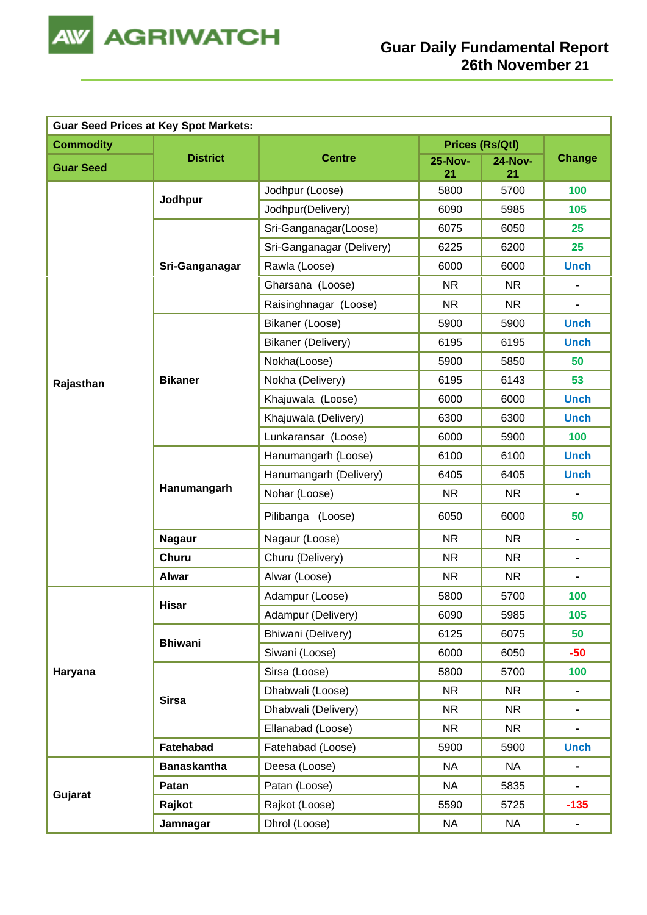

| <b>Guar Seed Prices at Key Spot Markets:</b> |                    |                           |                        |                      |                              |  |  |
|----------------------------------------------|--------------------|---------------------------|------------------------|----------------------|------------------------------|--|--|
| <b>Commodity</b>                             |                    |                           | <b>Prices (Rs/Qtl)</b> |                      |                              |  |  |
| <b>Guar Seed</b>                             | <b>District</b>    | <b>Centre</b>             | <b>25-Nov-</b><br>21   | <b>24-Nov-</b><br>21 | <b>Change</b>                |  |  |
|                                              | Jodhpur            | Jodhpur (Loose)           | 5800                   | 5700                 | 100                          |  |  |
|                                              |                    | Jodhpur(Delivery)         | 6090                   | 5985                 | 105                          |  |  |
|                                              |                    | Sri-Ganganagar(Loose)     | 6075                   | 6050                 | 25                           |  |  |
|                                              |                    | Sri-Ganganagar (Delivery) | 6225                   | 6200                 | 25                           |  |  |
|                                              | Sri-Ganganagar     | Rawla (Loose)             | 6000                   | 6000                 | <b>Unch</b>                  |  |  |
|                                              |                    | Gharsana (Loose)          | <b>NR</b>              | <b>NR</b>            | $\blacksquare$               |  |  |
|                                              |                    | Raisinghnagar (Loose)     | <b>NR</b>              | <b>NR</b>            |                              |  |  |
|                                              |                    | Bikaner (Loose)           | 5900                   | 5900                 | <b>Unch</b>                  |  |  |
|                                              |                    | <b>Bikaner (Delivery)</b> | 6195                   | 6195                 | <b>Unch</b>                  |  |  |
|                                              |                    | Nokha(Loose)              | 5900                   | 5850                 | 50                           |  |  |
| Rajasthan                                    | <b>Bikaner</b>     | Nokha (Delivery)          | 6195                   | 6143                 | 53                           |  |  |
|                                              |                    | Khajuwala (Loose)         | 6000                   | 6000                 | <b>Unch</b>                  |  |  |
|                                              |                    | Khajuwala (Delivery)      | 6300                   | 6300                 | <b>Unch</b>                  |  |  |
|                                              |                    | Lunkaransar (Loose)       | 6000                   | 5900                 | 100                          |  |  |
|                                              |                    | Hanumangarh (Loose)       | 6100                   | 6100                 | <b>Unch</b>                  |  |  |
|                                              | Hanumangarh        | Hanumangarh (Delivery)    | 6405                   | 6405                 | <b>Unch</b>                  |  |  |
|                                              |                    | Nohar (Loose)             | <b>NR</b>              | <b>NR</b>            | $\blacksquare$               |  |  |
|                                              |                    | Pilibanga (Loose)         | 6050                   | 6000                 | 50                           |  |  |
|                                              | <b>Nagaur</b>      | Nagaur (Loose)            | <b>NR</b>              | <b>NR</b>            | $\blacksquare$               |  |  |
|                                              | <b>Churu</b>       | Churu (Delivery)          | <b>NR</b>              | <b>NR</b>            | $\blacksquare$               |  |  |
|                                              | <b>Alwar</b>       | Alwar (Loose)             | <b>NR</b>              | <b>NR</b>            | $\qquad \qquad \blacksquare$ |  |  |
|                                              | <b>Hisar</b>       | Adampur (Loose)           | 5800                   | 5700                 | 100                          |  |  |
|                                              |                    | Adampur (Delivery)        | 6090                   | 5985                 | 105                          |  |  |
|                                              | <b>Bhiwani</b>     | Bhiwani (Delivery)        | 6125                   | 6075                 | 50                           |  |  |
|                                              |                    | Siwani (Loose)            | 6000                   | 6050                 | $-50$                        |  |  |
| Haryana                                      |                    | Sirsa (Loose)             | 5800                   | 5700                 | 100                          |  |  |
|                                              | <b>Sirsa</b>       | Dhabwali (Loose)          | <b>NR</b>              | <b>NR</b>            | ۰                            |  |  |
|                                              |                    | Dhabwali (Delivery)       | <b>NR</b>              | <b>NR</b>            | $\blacksquare$               |  |  |
|                                              |                    | Ellanabad (Loose)         | <b>NR</b>              | <b>NR</b>            | ۰                            |  |  |
|                                              | Fatehabad          | Fatehabad (Loose)         | 5900                   | 5900                 | <b>Unch</b>                  |  |  |
|                                              | <b>Banaskantha</b> | Deesa (Loose)             | <b>NA</b>              | NA                   |                              |  |  |
| Gujarat                                      | Patan              | Patan (Loose)             | <b>NA</b>              | 5835                 | $\qquad \qquad \blacksquare$ |  |  |
|                                              | Rajkot             | Rajkot (Loose)            | 5590                   | 5725                 | $-135$                       |  |  |
|                                              | Jamnagar           | Dhrol (Loose)             | <b>NA</b>              | <b>NA</b>            | $\blacksquare$               |  |  |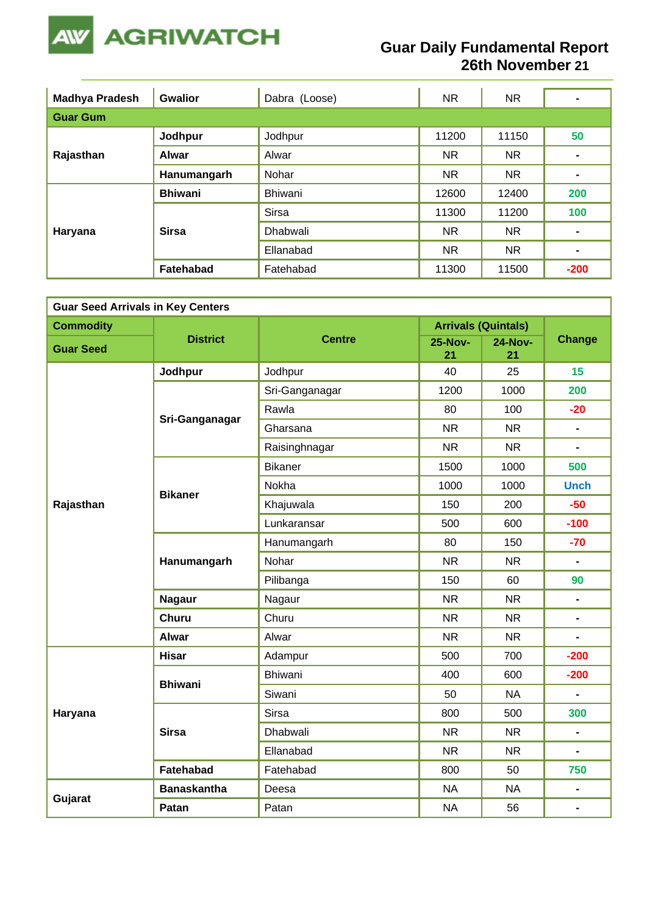

## **Guar Daily Fundamental Report 26th November 21**

| <b>Madhya Pradesh</b> | <b>Gwalior</b><br>Dabra (Loose) |                 | <b>NR</b> | NR.       |                |  |  |  |  |
|-----------------------|---------------------------------|-----------------|-----------|-----------|----------------|--|--|--|--|
| <b>Guar Gum</b>       |                                 |                 |           |           |                |  |  |  |  |
| Rajasthan             | Jodhpur                         | Jodhpur         | 11200     | 11150     | 50             |  |  |  |  |
|                       | <b>Alwar</b>                    | Alwar           | <b>NR</b> | <b>NR</b> |                |  |  |  |  |
|                       | Hanumangarh                     | Nohar           | <b>NR</b> | <b>NR</b> | $\blacksquare$ |  |  |  |  |
|                       | <b>Bhiwani</b>                  | Bhiwani         | 12600     | 12400     | 200            |  |  |  |  |
|                       |                                 | <b>Sirsa</b>    | 11300     | 11200     | 100            |  |  |  |  |
| Haryana               | <b>Sirsa</b>                    | <b>Dhabwali</b> | <b>NR</b> | <b>NR</b> | $\blacksquare$ |  |  |  |  |
|                       |                                 | Ellanabad       | <b>NR</b> | <b>NR</b> | $\blacksquare$ |  |  |  |  |
|                       | Fatehabad                       | Fatehabad       | 11300     | 11500     | $-200$         |  |  |  |  |

| <b>Guar Seed Arrivals in Key Centers</b> |                    |                |                      |                            |                              |  |  |
|------------------------------------------|--------------------|----------------|----------------------|----------------------------|------------------------------|--|--|
| <b>Commodity</b>                         |                    |                |                      | <b>Arrivals (Quintals)</b> |                              |  |  |
| <b>Guar Seed</b>                         | <b>District</b>    | <b>Centre</b>  | <b>25-Nov-</b><br>21 | <b>24-Nov-</b><br>21       | <b>Change</b>                |  |  |
|                                          | Jodhpur            | Jodhpur        | 40                   | 25                         | 15                           |  |  |
|                                          |                    | Sri-Ganganagar | 1200                 | 1000                       | 200                          |  |  |
|                                          |                    | Rawla          | 80                   | 100                        | $-20$                        |  |  |
|                                          | Sri-Ganganagar     | Gharsana       | <b>NR</b>            | <b>NR</b>                  | $\blacksquare$               |  |  |
|                                          |                    | Raisinghnagar  | <b>NR</b>            | <b>NR</b>                  |                              |  |  |
|                                          |                    | <b>Bikaner</b> | 1500                 | 1000                       | 500                          |  |  |
|                                          | <b>Bikaner</b>     | Nokha          | 1000                 | 1000                       | <b>Unch</b>                  |  |  |
| Rajasthan                                |                    | Khajuwala      | 150                  | 200                        | $-50$                        |  |  |
|                                          |                    | Lunkaransar    | 500                  | 600                        | $-100$                       |  |  |
|                                          | Hanumangarh        | Hanumangarh    | 80                   | 150                        | $-70$                        |  |  |
|                                          |                    | Nohar          | <b>NR</b>            | <b>NR</b>                  | $\qquad \qquad \blacksquare$ |  |  |
|                                          |                    | Pilibanga      | 150                  | 60                         | 90                           |  |  |
|                                          | <b>Nagaur</b>      | Nagaur         | <b>NR</b>            | <b>NR</b>                  | $\blacksquare$               |  |  |
|                                          | <b>Churu</b>       | Churu          | <b>NR</b>            | <b>NR</b>                  | $\blacksquare$               |  |  |
|                                          | Alwar              | Alwar          | <b>NR</b>            | <b>NR</b>                  | $\blacksquare$               |  |  |
|                                          | <b>Hisar</b>       | Adampur        | 500                  | 700                        | $-200$                       |  |  |
|                                          | <b>Bhiwani</b>     | <b>Bhiwani</b> | 400                  | 600                        | $-200$                       |  |  |
|                                          |                    | Siwani         | 50                   | <b>NA</b>                  |                              |  |  |
| Haryana                                  |                    | <b>Sirsa</b>   | 800                  | 500                        | 300                          |  |  |
|                                          | <b>Sirsa</b>       | Dhabwali       | <b>NR</b>            | <b>NR</b>                  | $\blacksquare$               |  |  |
|                                          |                    | Ellanabad      | <b>NR</b>            | <b>NR</b>                  | $\blacksquare$               |  |  |
|                                          | Fatehabad          | Fatehabad      | 800                  | 50                         | 750                          |  |  |
|                                          | <b>Banaskantha</b> | Deesa          | <b>NA</b>            | <b>NA</b>                  | $\qquad \qquad \blacksquare$ |  |  |
| Gujarat                                  | Patan              | Patan          | <b>NA</b>            | 56                         | $\qquad \qquad \blacksquare$ |  |  |